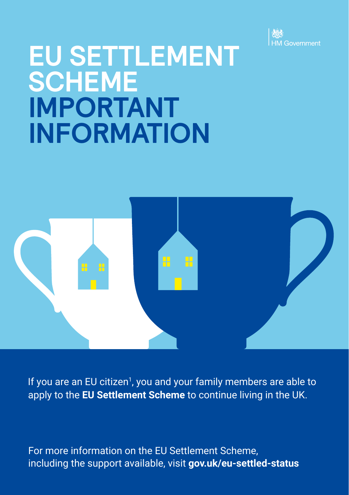

# **EU SETTLEMENT SCHEME IMPORTANT INFORMATION**



If you are an EU citizen<sup>1</sup>, you and your family members are able to apply to the **EU Settlement Scheme** to continue living in the UK.

For more information on the EU Settlement Scheme, including the support available, visit **[gov.uk/eu-settled-status](http://www.gov.uk/eu-settled-status)**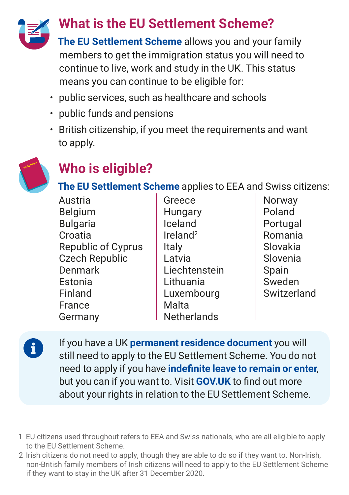

### **What is the EU Settlement Scheme?**

**The EU Settlement Scheme** allows you and your family members to get the immigration status you will need to continue to live, work and study in the UK. This status means you can continue to be eligible for:

- public services, such as healthcare and schools
- public funds and pensions
- British citizenship, if you meet the requirements and want to apply.



i.

# **Who is eligible?**

**The EU Settlement Scheme** applies to EEA and Swiss citizens:

| Austria                   |
|---------------------------|
| Belgium                   |
| <b>Bulgaria</b>           |
| Croatia                   |
| <b>Republic of Cyprus</b> |
| <b>Czech Republic</b>     |
| Denmark                   |
| Estonia                   |
| Finland                   |
| France                    |
| Germany                   |

- Greece **Hungary** Iceland Ireland2 Italy Latvia Liechtenstein Lithuania Luxembourg Malta **Netherlands**
- Norway Poland Portugal Romania Slovakia Slovenia Spain Sweden **Switzerland**

If you have a UK **permanent residence document** you will still need to apply to the EU Settlement Scheme. You do not need to apply if you have **indefinite leave to remain or enter**, but you can if you want to. Visit **[GOV.UK](https://www.gov.uk/settled-status-eu-citizens-families/what-settled-and-presettled-status-means)** to find out more about your rights in relation to the EU Settlement Scheme.

- 1 EU citizens used throughout refers to EEA and Swiss nationals, who are all eligible to apply to the EU Settlement Scheme.
- 2 Irish citizens do not need to apply, though they are able to do so if they want to. Non-Irish, non-British family members of Irish citizens will need to apply to the EU Settlement Scheme if they want to stay in the UK after 31 December 2020.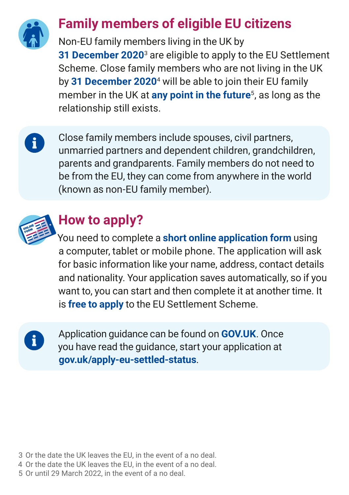

#### **Family members of eligible EU citizens**

Non-EU family members living in the UK by **31 December 2020**<sup>3</sup> are eligible to apply to the EU Settlement Scheme. Close family members who are not living in the UK by **31 December 2020**<sup>4</sup> will be able to join their EU family member in the UK at **any point in the future**5, as long as the relationship still exists.

Close family members include spouses, civil partners, unmarried partners and dependent children, grandchildren, parents and grandparents. Family members do not need to be from the EU, they can come from anywhere in the world (known as non-EU family member).



 $\mathbf{i}$ 

# **How to apply?**

You need to complete a **short online application form** using a computer, tablet or mobile phone. The application will ask for basic information like your name, address, contact details and nationality. Your application saves automatically, so if you want to, you can start and then complete it at another time. It is **free to apply** to the EU Settlement Scheme.

 $\mathbf i$ 

Application guidance can be found on **[GOV.UK](https://www.gov.uk/settled-status-eu-citizens-families/applying-for-settled-status)**. Once you have read the guidance, start your application at **[gov.uk/apply-eu-settled-status](http://www.gov.uk/apply-eu-settled-status)**.

- 3 Or the date the UK leaves the EU, in the event of a no deal.
- 4 Or the date the UK leaves the EU, in the event of a no deal.
- 5 Or until 29 March 2022, in the event of a no deal.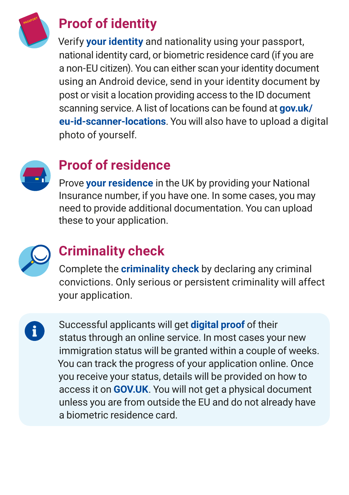

# **Proof of identity**

Verify **your identity** and nationality using your passport, national identity card, or biometric residence card (if you are a non-EU citizen). You can either scan your identity document using an Android device, send in your identity document by post or visit a location providing access to the ID document scanning service. A list of locations can be found at **[gov.uk/](http://gov.uk/eu-id-scanner-locations) [eu-id-scanner-locations](http://gov.uk/eu-id-scanner-locations)**. You will also have to upload a digital photo of yourself.



# **Proof of residence**

Prove **your residence** in the UK by providing your National Insurance number, if you have one. In some cases, you may need to provide additional documentation. You can upload these to your application.



# **Criminality check**

Complete the **criminality check** by declaring any criminal convictions. Only serious or persistent criminality will affect your application.

i.

Successful applicants will get **digital proof** of their status through an online service. In most cases your new immigration status will be granted within a couple of weeks. You can track the progress of your application online. Once you receive your status, details will be provided on how to access it on **[GOV.UK](http://gov.uk/eu-settled-status)**. You will not get a physical document unless you are from outside the EU and do not already have a biometric residence card.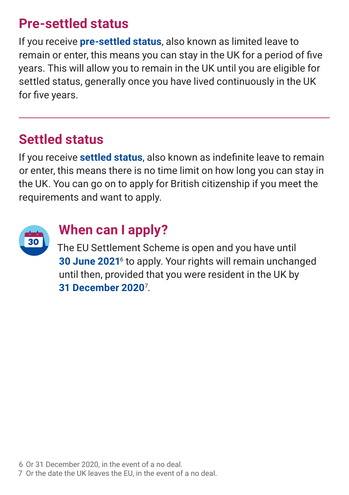#### **Pre-settled status**

If you receive **pre-settled status**, also known as limited leave to remain or enter, this means you can stay in the UK for a period of five years. This will allow you to remain in the UK until you are eligible for settled status, generally once you have lived continuously in the UK for five years.

#### **Settled status**

If you receive **settled status**, also known as indefinite leave to remain or enter, this means there is no time limit on how long you can stay in the UK. You can go on to apply for British citizenship if you meet the requirements and want to apply.



#### **When can I apply?**

The EU Settlement Scheme is open and you have until **30 June 2021**<sup>6</sup> to apply. Your rights will remain unchanged until then, provided that you were resident in the UK by **31 December 2020**<sup>7</sup> .

6 Or 31 December 2020, in the event of a no deal.

7 Or the date the UK leaves the EU, in the event of a no deal.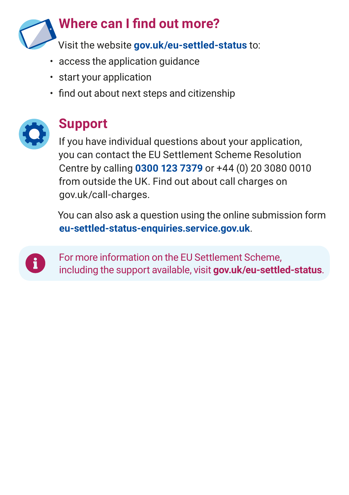

- access the application guidance
- start your application
- find out about next steps and citizenship



### **Support**

If you have individual questions about your application, you can contact the EU Settlement Scheme Resolution Centre by calling **0300 123 7379** or +44 (0) 20 3080 0010 from outside the UK. Find out about call charges on [gov.uk/call-charges](http://www.gov.uk/call-charges).

You can also ask a question using the online submission form **[eu-settled-status-enquiries.service.gov.uk](https://eu-settled-status-enquiries.service.gov.uk/start)**.



For more information on the EU Settlement Scheme, including the support available, visit **[gov.uk/eu-settled-status](http://www.gov.uk/eu-settled-status)**.